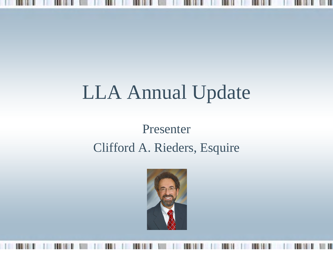#### ш

# LLA Annual Update

## Presenter Clifford A. Rieders, Esquire

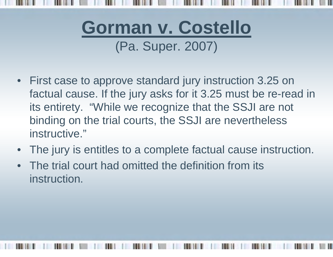

- $\bullet$  First case to approve standard jury instruction 3.25 on factual cause. If the jury asks for it 3.25 must be re-read in its entirety. "While we recognize that the SSJI are not binding on the trial courts, the SSJI are nevertheless instructive."
- $\bullet$ The jury is entitles to a complete factual cause instruction.
- $\bullet$  The trial court had omitted the definition from its instruction.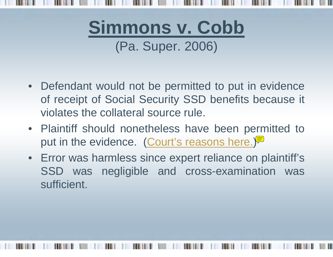

- Defendant would not be permitted to put in evidence of receipt of Social Security SSD benefits because it violates the collateral source rule.
- Plaintiff should nonetheless have been permitted to put in the evidence. (Court's reasons here $\frac{1}{2}$ )
- Error was harmless since expert reliance on plaintiff's SSD was negligible and cross-examination was sufficient.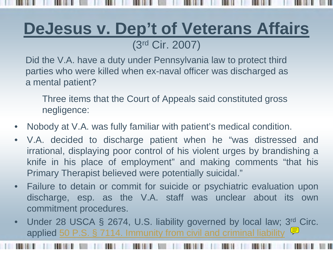#### **DeJesus v. Dep't of Veterans Affairs** (3rd Cir. 2007)

Did the V.A. have a duty under Pennsylvania law to protect third parties who were killed when ex-naval officer was discharged as a mental patient?

Three items that the Court of Appeals said constituted gross negligence:

- •Nobody at V.A. was fully familiar with patient's medical condition.
- $\bullet$  V.A. decided to discharge patient when he "was distressed and irrational, displaying poor control of his violent urges by brandishing a knife in his place of employment" and making comments "that his Primary Therapist believed were potentially suicidal."
- • Failure to detain or commit for suicide or psychiatric evaluation upon discharge, esp. as the V.A. staff was unclear about its own commitment procedures.
- • Under 28 USCA § 2674, U.S. liability governed by local law; 3rd Circ. applied 50 P.S. § 7114. Immunity from civil and criminal liability<sup>111</sup>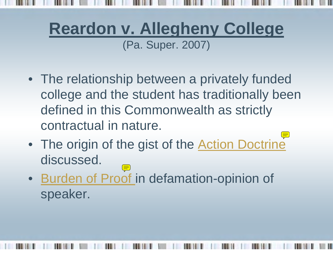## **Reardon v. Allegheny College** (Pa. Super. 2007)

- The relationship between a privately funded college and the student has traditionally been defined in this Commonwealth as strictly contractual in nature.
- The origin of the gist of the Action Doctrine discussed.
- Burden of Proof in defamation-opinion of speaker.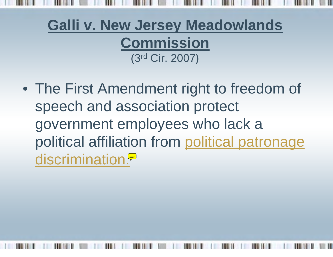# **Galli v. New Jersey Meadowlands Commission** (3rd Cir. 2007)

• The First Amendment right to freedom of speech and association protect government employees who lack a political affiliation from political patronage discrimination.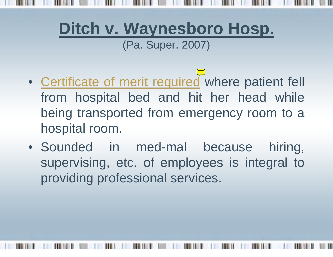#### **Ditch v. Waynesboro Hosp.** (Pa. Super. 2007)

- Certificate of merit required where patient fell from hospital bed and hit her head while being transported from emergency room to a hospital room.
- Sounded in med-mal because hiring, supervising, etc. of employees is integral to providing professional services.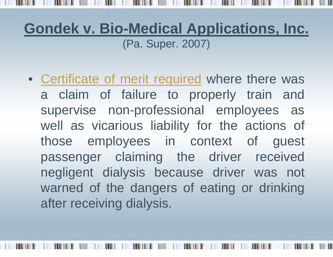#### **Gondek v. Bio-Medical Applications, Inc.** (Pa. Super. 2007)

• Certificate of merit required where there was a claim of failure to properly train and supervise non-professional employees as well as vicarious liability for the actions of those employees in context of guest passenger claiming the driver received negligent dialysis because driver was not warned of the dangers of eating or drinking after receiving dialysis.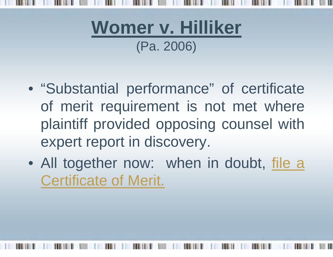

- "Substantial performance" of certificate of merit requirement is not met where plaintiff provided opposing counsel with expert report in discovery.
- All together now: when in doubt, file a Certificate of Merit.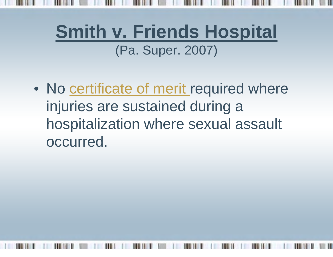# **Smith v. Friends Hospital** (Pa. Super. 2007)

• No certificate of merit required where injuries are sustained during a hospitalization where sexual assault occurred.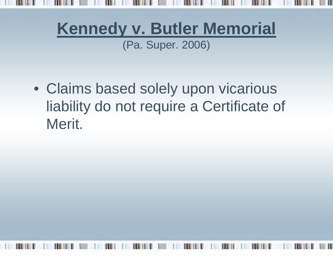#### **Kennedy v. Butler Memorial** (Pa. Super. 2006)

• Claims based solely upon vicarious liability do not require a Certificate of Merit.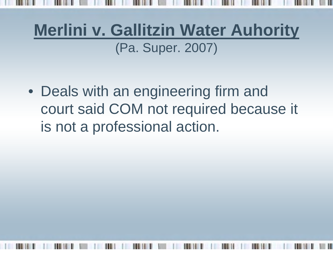# **Merlini v. Gallitzin Water Auhority** (Pa. Super. 2007)

• Deals with an engineering firm and court said COM not required because it is not a professional action.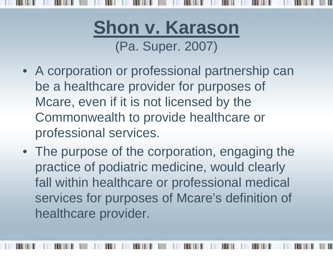

(Pa. Super. 2007)

- A corporation or professional partnership can be a healthcare provider for purposes of Mcare, even if it is not licensed by the Commonwealth to provide healthcare or professional services.
- The purpose of the corporation, engaging the practice of podiatric medicine, would clearly fall within healthcare or professional medical services for purposes of Mcare's definition of healthcare provider.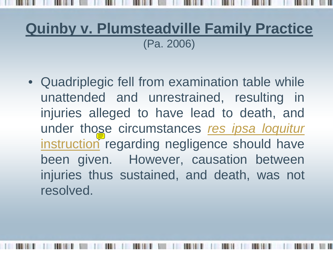#### **Quinby v. Plumsteadville Family Practice** (Pa. 2006)

• Quadriplegic fell from examination table while unattended and unrestrained, resulting in injuries alleged to have lead to death, and under those circumstances res ipsa loquitur instruction regarding negligence should have been given. However, causation between injuries thus sustained, and death, was not resolved.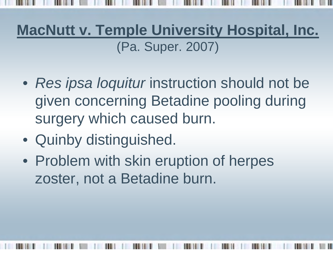**MacNutt v. Temple University Hospital, Inc.** (Pa. Super. 2007)

- *Res ipsa loquitur* instruction should not be given concerning Betadine pooling during surgery which caused burn.
- Quinby distinguished.
- Problem with skin eruption of herpes zoster, not a Betadine burn.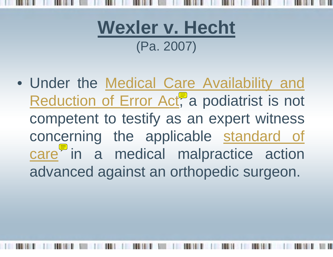

- (Pa. 2007)
- Under the Medical Care Availability and Reduction of Error  $Ad<sup>u</sup>$ , a podiatrist is not competent to testify as an expert witness concerning the applicable standard of care in a medical malpractice action advanced against an orthopedic surgeon.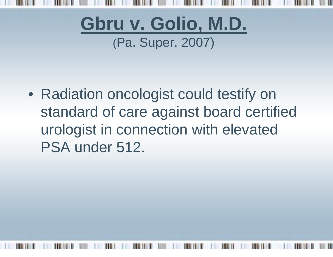

• Radiation oncologist could testify on standard of care against board certified urologist in connection with elevated PSA under 512.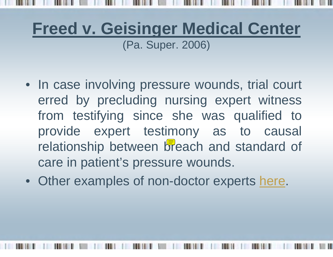## **Freed v. Geisinger Medical Center** (Pa. Super. 2006)

- In case involving pressure wounds, trial court erred by precluding nursing expert witness from testifying since she was qualified to provide expert testimony as to causal relationship between **b**reach and standard of care in patient's pressure wounds.
- Other examples of non-doctor experts here.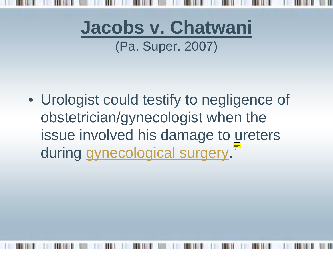

# **Jacobs v. Chatwani** (Pa. Super. 2007)

• Urologist could testify to negligence of obstetrician/gynecologist when the issue involved his damage to ureters during gynecological surgery.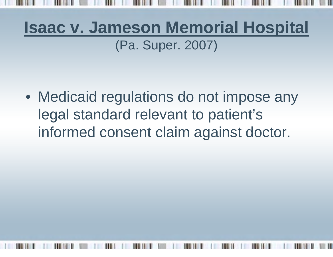# **Isaac v. Jameson Memorial Hospital** (Pa. Super. 2007)

• Medicaid regulations do not impose any legal standard relevant to patient's informed consent claim against doctor.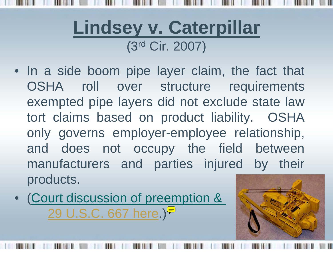# **Lindsey v. Caterpillar** (3rd Cir. 2007)

- In a side boom pipe layer claim, the fact that OSHA roll over structure requirements exempted pipe layers did not exclude state law tort claims based on product liability. OSHA only governs employer-employee relationship, and does not occupy the field between manufacturers and parties injured by their products.
- (Court discussion of preemption & 29 U.S.C. 667 here.<sup>11</sup>

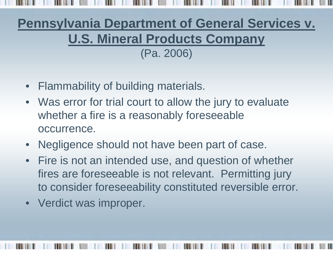#### **Pennsylvania Department of General Services v. U.S. Mineral Products Company** (Pa. 2006)

- $\bullet$ Flammability of building materials.
- Was error for trial court to allow the jury to evaluate whether a fire is a reasonably foreseeable occurrence.
- $\bullet$ Negligence should not have been part of case.
- $\bullet$  Fire is not an intended use, and question of whether fires are foreseeable is not relevant. Permitting jury to consider foreseeability constituted reversible error.
- Verdict was improper.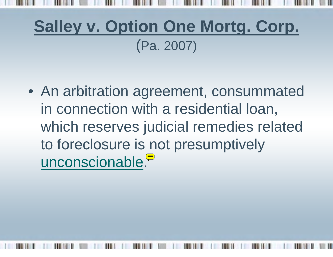# **Salley v. Option One Mortg. Corp.** (Pa. 2007)

• An arbitration agreement, consummated in connection with a residential loan, which reserves judicial remedies related to foreclosure is not presumptively unconscionable.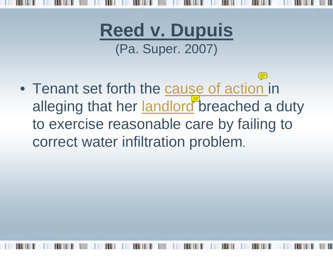

# **Reed v. Dupuis** (Pa. Super. 2007)

• Tenant set forth the cause of action in alleging that her landlord breached a duty to exercise reasonable care by failing to correct water infiltration problem.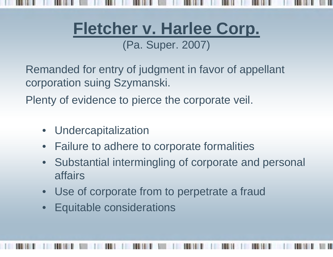

#### **Fletcher v. Harlee Corp.** (Pa. Super. 2007)

Remanded for entry of judgment in favor of appellant corporation suing Szymanski.

Plenty of evidence to pierce the corporate veil.

- $\bullet$ **Undercapitalization**
- $\bullet$ Failure to adhere to corporate formalities
- $\bullet$  Substantial intermingling of corporate and personal affairs
- $\bullet$ Use of corporate from to perpetrate a fraud
- $\bullet$ Equitable considerations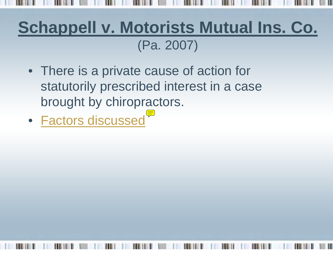# **Schappell v. Motorists Mutual Ins. Co.** (Pa. 2007)

- There is a private cause of action for statutorily prescribed interest in a case brought by chiropractors.
- Factors discussed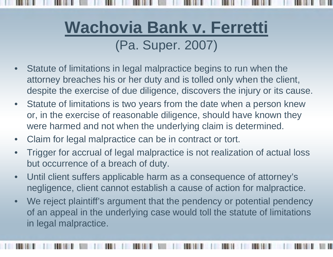# **Wachovia Bank v. Ferretti** (Pa. Super. 2007)

- $\bullet$  Statute of limitations in legal malpractice begins to run when the attorney breaches his or her duty and is tolled only when the client, despite the exercise of due diligence, discovers the injury or its cause.
- $\bullet$  Statute of limitations is two years from the date when a person knew or, in the exercise of reasonable diligence, should have known they were harmed and not when the underlying claim is determined.
- $\bullet$ Claim for legal malpractice can be in contract or tort.
- $\bullet$  Trigger for accrual of legal malpractice is not realization of actual loss but occurrence of a breach of duty.
- $\bullet$  Until client suffers applicable harm as a consequence of attorney's negligence, client cannot establish a cause of action for malpractice.
- •We reject plaintiff's argument that the pendency or potential pendency of an appeal in the underlying case would toll the statute of limitations in legal malpractice.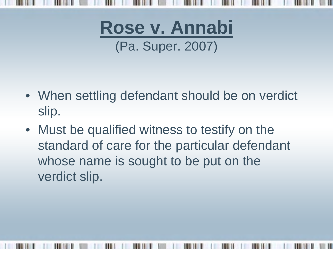

**Rose v. Annabi** (Pa. Super. 2007)

- When settling defendant should be on verdict slip.
- Must be qualified witness to testify on the standard of care for the particular defendant whose name is sought to be put on the verdict slip.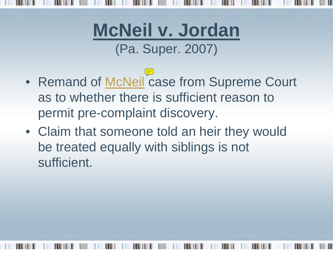

# **McNeil v. Jordan** (Pa. Super. 2007)

- Remand of McNeil case from Supreme Court as to whether there is sufficient reason to permit pre-complaint discovery.
- Claim that someone told an heir they would be treated equally with siblings is not sufficient.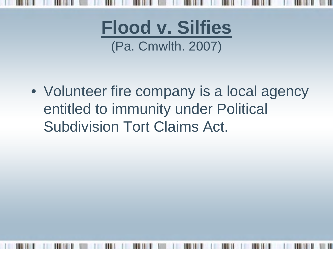

**Flood v. Silfies** (Pa. Cmwlth. 2007)

• Volunteer fire company is a local agency entitled to immunity under Political Subdivision Tort Claims Act.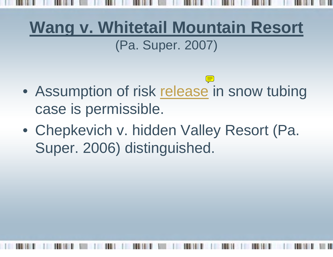**Wang v. Whitetail Mountain Resort** (Pa. Super. 2007)

- $\frac{1}{\sqrt{2}}$ • Assumption of risk **release** in snow tubing case is permissible.
- Chepkevich v. hidden Valley Resort (Pa. Super. 2006) distinguished.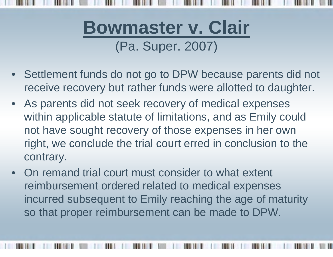

- Settlement funds do not go to DPW because parents did not receive recovery but rather funds were allotted to daughter.
- As parents did not seek recovery of medical expenses within applicable statute of limitations, and as Emily could not have sought recovery of those expenses in her own right, we conclude the trial court erred in conclusion to the contrary.
- $\bullet$  On remand trial court must consider to what extent reimbursement ordered related to medical expenses incurred subsequent to Emily reaching the age of maturity so that proper reimbursement can be made to DPW.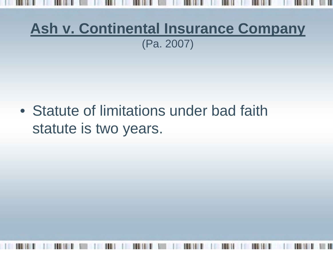## **Ash v. Continental Insurance Company** (Pa. 2007)

• Statute of limitations under bad faith statute is two years.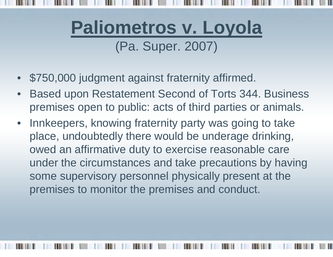# **Paliometros v. Loyola** (Pa. Super. 2007)

- $\bullet$ \$750,000 judgment against fraternity affirmed.
- $\bullet$  Based upon Restatement Second of Torts 344. Business premises open to public: acts of third parties or animals.
- • Innkeepers, knowing fraternity party was going to take place, undoubtedly there would be underage drinking, owed an affirmative duty to exercise reasonable care under the circumstances and take precautions by having some supervisory personnel physically present at the premises to monitor the premises and conduct.